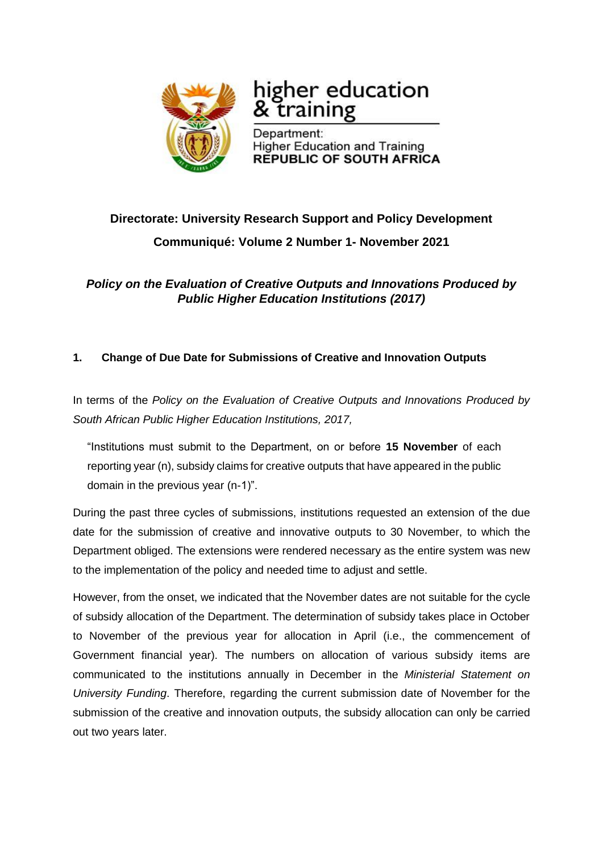

# higher education training

Department: **Higher Education and Training REPUBLIC OF SOUTH AFRICA** 

# **Directorate: University Research Support and Policy Development Communiqué: Volume 2 Number 1- November 2021**

*Policy on the Evaluation of Creative Outputs and Innovations Produced by Public Higher Education Institutions (2017)*

## **1. Change of Due Date for Submissions of Creative and Innovation Outputs**

In terms of the *Policy on the Evaluation of Creative Outputs and Innovations Produced by South African Public Higher Education Institutions, 2017,*

"Institutions must submit to the Department, on or before **15 November** of each reporting year (n), subsidy claims for creative outputs that have appeared in the public domain in the previous year (n-1)".

During the past three cycles of submissions, institutions requested an extension of the due date for the submission of creative and innovative outputs to 30 November, to which the Department obliged. The extensions were rendered necessary as the entire system was new to the implementation of the policy and needed time to adjust and settle.

However, from the onset, we indicated that the November dates are not suitable for the cycle of subsidy allocation of the Department. The determination of subsidy takes place in October to November of the previous year for allocation in April (i.e., the commencement of Government financial year). The numbers on allocation of various subsidy items are communicated to the institutions annually in December in the *Ministerial Statement on University Funding*. Therefore, regarding the current submission date of November for the submission of the creative and innovation outputs, the subsidy allocation can only be carried out two years later.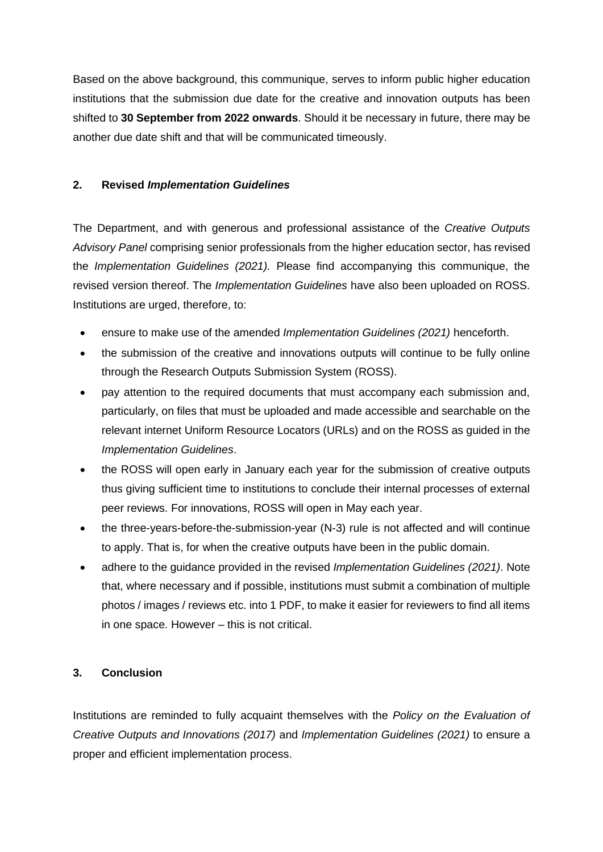Based on the above background, this communique, serves to inform public higher education institutions that the submission due date for the creative and innovation outputs has been shifted to **30 September from 2022 onwards**. Should it be necessary in future, there may be another due date shift and that will be communicated timeously.

#### **2. Revised** *Implementation Guidelines*

The Department, and with generous and professional assistance of the *Creative Outputs Advisory Panel* comprising senior professionals from the higher education sector, has revised the *Implementation Guidelines (2021).* Please find accompanying this communique, the revised version thereof. The *Implementation Guidelines* have also been uploaded on ROSS. Institutions are urged, therefore, to:

- ensure to make use of the amended *Implementation Guidelines (2021)* henceforth.
- the submission of the creative and innovations outputs will continue to be fully online through the Research Outputs Submission System (ROSS).
- pay attention to the required documents that must accompany each submission and, particularly, on files that must be uploaded and made accessible and searchable on the relevant internet Uniform Resource Locators (URLs) and on the ROSS as guided in the *Implementation Guidelines*.
- the ROSS will open early in January each year for the submission of creative outputs thus giving sufficient time to institutions to conclude their internal processes of external peer reviews. For innovations, ROSS will open in May each year.
- the three-years-before-the-submission-year (N-3) rule is not affected and will continue to apply. That is, for when the creative outputs have been in the public domain.
- adhere to the guidance provided in the revised *Implementation Guidelines (2021)*. Note that, where necessary and if possible, institutions must submit a combination of multiple photos / images / reviews etc. into 1 PDF, to make it easier for reviewers to find all items in one space. However – this is not critical.

### **3. Conclusion**

Institutions are reminded to fully acquaint themselves with the *Policy on the Evaluation of Creative Outputs and Innovations (2017)* and *Implementation Guidelines (2021)* to ensure a proper and efficient implementation process.